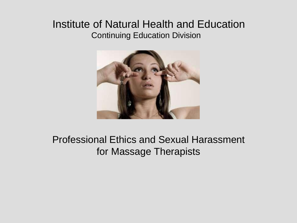### Institute of Natural Health and Education Continuing Education Division



### Professional Ethics and Sexual Harassment for Massage Therapists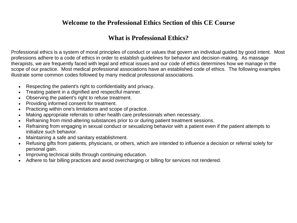#### **Welcome to the Professional Ethics Section of this CE Course**

#### **What is Professional Ethics?**

Professional ethics is a system of moral principles of conduct or values that govern an individual guided by good intent. Most professions adhere to a code of ethics in order to establish guidelines for behavior and decision-making. As massage therapists, we are frequently faced with legal and ethical issues and our code of ethics determines how we manage in the scope of our practice. Most medical professional associations have an established code of ethics. The following examples illustrate some common codes followed by many medical professional associations.

- Respecting the patient's right to confidentiality and privacy.
- Treating patient in a dignified and respectful manner.
- Observing the patient's right to refuse treatment.
- Providing informed consent for treatment.
- Practicing within one's limitations and scope of practice.
- Making appropriate referrals to other health care professionals when necessary.
- Refraining from mind-altering substances prior to or during patient treatment sessions.
- Refraining from engaging in sexual conduct or sexualizing behavior with a patient even if the patient attempts to initialize such behavior.
- Maintaining a safe and sanitary establishment.
- Refusing gifts from patients, physicians, or others, which are intended to influence a decision or referral solely for personal gain.
- Improving technical skills through continuing education.
- Adhere to fair billing practices and avoid overcharging or billing for services not rendered.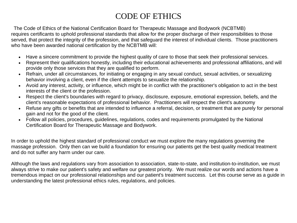### CODE OF ETHICS

The Code of Ethics of the National Certification Board for Therapeutic Massage and Bodywork (NCBTMB) requires certificants to uphold professional standards that allow for the proper discharge of their responsibilities to those served, that protect the integrity of the profession, and that safeguard the interest of individual clients. Those practitioners who have been awarded national certification by the NCBTMB will:

- Have a sincere commitment to provide the highest quality of care to those that seek their professional services.
- Represent their qualifications honestly, including their educational achievements and professional affiliations, and will provide only those services that they are qualified to perform.
- Refrain, under all circumstances, for initiating or engaging in any sexual conduct, sexual activities, or sexualizing behavior involving a client, even if the client attempts to sexualize the relationship.
- Avoid any interest, activity, or influence, which might be in conflict with the practitioner's obligation to act in the best interests of the client or the profession.
- Respect the client's boundaries with regard to privacy, disclosure, exposure, emotional expression, beliefs, and the client's reasonable expectations of professional behavior. Practitioners will respect the client's autonomy
- Refuse any gifts or benefits that are intended to influence a referral, decision, or treatment that are purely for personal gain and not for the good of the client.
- Follow all policies, procedures, guidelines, regulations, codes and requirements promulgated by the National Certification Board for Therapeutic Massage and Bodywork.

In order to uphold the highest standard of professional conduct we must explore the many regulations governing the massage profession. Only then can we build a foundation for ensuring our patients get the best quality medical treatment and do not suffer any harm under our care.

Although the laws and regulations vary from association to association, state-to-state, and institution-to-institution, we must always strive to make our patient's safety and welfare our greatest priority. We must realize our words and actions have a tremendous impact on our professional relationships and our patient's treatment success. Let this course serve as a guide in understanding the latest professional ethics rules, regulations, and policies.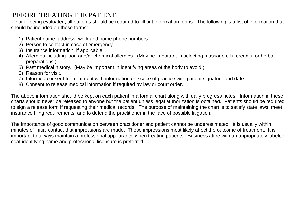#### BEFORE TREATING THE PATIENT

Prior to being evaluated, all patients should be required to fill out information forms. The following is a list of information that should be included on these forms:

- 1) Patient name, address, work and home phone numbers.
- 2) Person to contact in case of emergency.
- 3) Insurance information, if applicable.
- 4) Allergies including food and/or chemical allergies. (May be important in selecting massage oils, creams, or herbal preparations.)
- 5) Past medical history. (May be important in identifying areas of the body to avoid.)
- 6) Reason for visit.
- 7) Informed consent for treatment with information on scope of practice with patient signature and date.
- 8) Consent to release medical information if required by law or court order.

The above information should be kept on each patient in a formal chart along with daily progress notes. Information in these charts should never be released to anyone but the patient unless legal authorization is obtained. Patients should be required to sign a release form if requesting their medical records. The purpose of maintaining the chart is to satisfy state laws, meet insurance filing requirements, and to defend the practitioner in the face of possible litigation.

The importance of good communication between practitioner and patient cannot be underestimated. It is usually within minutes of initial contact that impressions are made. These impressions most likely affect the outcome of treatment. It is important to always maintain a professional appearance when treating patients. Business attire with an appropriately labeled coat identifying name and professional licensure is preferred.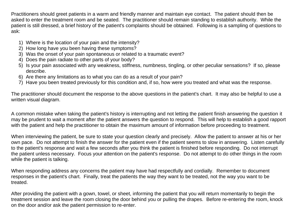Practitioners should greet patients in a warm and friendly manner and maintain eye contact. The patient should then be asked to enter the treatment room and be seated. The practitioner should remain standing to establish authority. While the patient is still dressed, a brief history of the patient's complaints should be obtained. Following is a sampling of questions to ask:

- 1) Where is the location of your pain and the intensity?
- 2) How long have you been having these symptoms?
- 3) Was the onset of your pain spontaneous or related to a traumatic event?
- 4) Does the pain radiate to other parts of your body?
- 5) Is your pain associated with any weakness, stiffness, numbness, tingling, or other peculiar sensations? If so, please describe.
- 6) Are there any limitations as to what you can do as a result of your pain?
- 7) Have you been treated previously for this condition and, if so, how were you treated and what was the response.

The practitioner should document the response to the above questions in the patient's chart. It may also be helpful to use a written visual diagram.

A common mistake when taking the patient's history is interrupting and not letting the patient finish answering the question it may be prudent to wait a moment after the patient answers the question to respond. This will help to establish a good rapport with the patient and help the practitioner to obtain the maximum amount of information before proceeding to treatment.

When interviewing the patient, be sure to state your question clearly and precisely. Allow the patient to answer at his or her own pace. Do not attempt to finish the answer for the patient even if the patient seems to slow in answering. Listen carefully to the patient's response and wait a few seconds after you think the patient is finished before responding. Do not interrupt the patient unless necessary. Focus your attention on the patient's response. Do not attempt to do other things in the room while the patient is talking.

When responding address any concerns the patient may have had respectfully and cordially. Remember to document responses in the patient's chart. Finally, treat the patients the way they want to be treated, not the way you want to be treated.

After providing the patient with a gown, towel, or sheet, informing the patient that you will return momentarily to begin the treatment session and leave the room closing the door behind you or pulling the drapes. Before re-entering the room, knock on the door and/or ask the patient permission to re-enter.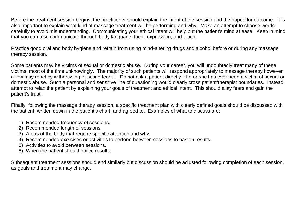Before the treatment session begins, the practitioner should explain the intent of the session and the hoped for outcome. It is also important to explain what kind of massage treatment will be performing and why. Make an attempt to choose words carefully to avoid misunderstanding. Communicating your ethical intent will help put the patient's mind at ease. Keep in mind that you can also communicate through body language, facial expression, and touch.

Practice good oral and body hygiene and refrain from using mind-altering drugs and alcohol before or during any massage therapy session.

Some patients may be victims of sexual or domestic abuse. During your career, you will undoubtedly treat many of these victims, most of the time unknowingly. The majority of such patients will respond appropriately to massage therapy however a few may react by withdrawing or acting fearful. Do not ask a patient directly if he or she has ever been a victim of sexual or domestic abuse. Such a personal and sensitive line of questioning would clearly cross patient/therapist boundaries. Instead, attempt to relax the patient by explaining your goals of treatment and ethical intent. This should allay fears and gain the patient's trust.

Finally, following the massage therapy session, a specific treatment plan with clearly defined goals should be discussed with the patient, written down in the patient's chart, and agreed to. Examples of what to discuss are:

- 1) Recommended frequency of sessions.
- 2) Recommended length of sessions.
- 3) Areas of the body that require specific attention and why.
- 4) Recommended exercises or activities to perform between sessions to hasten results.
- 5) Activities to avoid between sessions.
- 6) When the patient should notice results.

Subsequent treatment sessions should end similarly but discussion should be adjusted following completion of each session, as goals and treatment may change.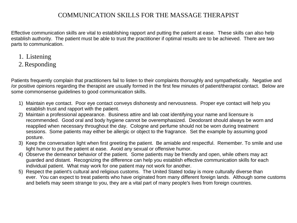#### COMMUNICATION SKILLS FOR THE MASSAGE THERAPIST

Effective communication skills are vital to establishing rapport and putting the patient at ease. These skills can also help establish authority. The patient must be able to trust the practitioner if optimal results are to be achieved. There are two parts to communication.

- 1. Listening
- 2.Responding

Patients frequently complain that practitioners fail to listen to their complaints thoroughly and sympathetically. Negative and /or positive opinions regarding the therapist are usually formed in the first few minutes of patient/therapist contact. Below are some commonsense guidelines to good communication skills.

- 1) Maintain eye contact. Poor eye contact conveys dishonesty and nervousness. Proper eye contact will help you establish trust and rapport with the patient.
- 2) Maintain a professional appearance. Business attire and lab coat identifying your name and licensure is recommended. Good oral and body hygiene cannot be overemphasized. Deodorant should always be worn and reapplied when necessary throughout the day. Cologne and perfume should not be worn during treatment sessions. Some patients may either be allergic or object to the fragrance. Set the example by assuming good posture.
- 3) Keep the conversation light when first greeting the patient. Be amiable and respectful. Remember. To smile and use light humor to put the patient at ease. Avoid any sexual or offensive humor.
- 4) Observe the demeanor behavior of the patient. Some patients may be friendly and open, while others may act guarded and distant. Recognizing the difference can help you establish effective communication skills for each individual patient. What may work for one patient may not work for another.
- 5) Respect the patient's cultural and religious customs. The United Stated today is more culturally diverse than ever. You can expect to treat patients who have originated from many different foreign lands. Although some customs and beliefs may seem strange to you, they are a vital part of many people's lives from foreign countries.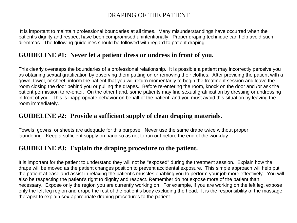#### DRAPING OF THE PATIENT

It is important to maintain professional boundaries at all times. Many misunderstandings have occurred when the patient's dignity and respect have been compromised unintentionally. Proper draping technique can help avoid such dilemmas. The following guidelines should be followed with regard to patient draping.

#### **GUIDELINE #1: Never let a patient dress or undress in front of you.**

This clearly oversteps the boundaries of a professional relationship. It is possible a patient may incorrectly perceive you as obtaining sexual gratification by observing them putting on or removing their clothes. After providing the patient with a gown, towel, or sheet, inform the patient that you will return momentarily to begin the treatment session and leave the room closing the door behind you or pulling the drapes. Before re-entering the room, knock on the door and /or ask the patient permission to re-enter. On the other hand, some patients may find sexual gratification by dressing or undressing in front of you. This is inappropriate behavior on behalf of the patient, and you must avoid this situation by leaving the room immediately.

#### **GUIDELINE #2: Provide a sufficient supply of clean draping materials.**

Towels, gowns, or sheets are adequate for this purpose. Never use the same drape twice without proper laundering. Keep a sufficient supply on hand so as not to run out before the end of the workday.

#### **GUIDELINE #3: Explain the draping procedure to the patient.**

It is important for the patient to understand they will not be "exposed" during the treatment session. Explain how the drape will be moved as the patient changes position to prevent accidental exposure. This simple approach will help put the patient at ease and assist in relaxing the patient's muscles enabling you to perform your job more effectively. You will also be respecting the patient's right to dignity and respect. Remember do not expose more of the patient than necessary. Expose only the region you are currently working on. For example, if you are working on the left leg, expose only the left leg region and drape the rest of the patient's body excluding the head. It is the responsibility of the massage therapist to explain sex-appropriate draping procedures to the patient.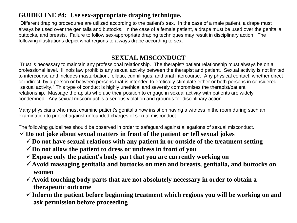### **GUIDELINE #4: Use sex-appropriate draping technique.**

Different draping procedures are utilized according to the patient's sex. In the case of a male patient, a drape must always be used over the genitalia and buttocks. In the case of a female patient, a drape must be used over the genitalia, buttocks, and breasts. Failure to follow sex-appropriate draping techniques may result in disciplinary action. The following illustrations depict what regions to always drape according to sex.

### **SEXUAL MISCONDUCT**

Trust is necessary to maintain any professional relationship. The therapist/ patient relationship must always be on a professional level. Illinois law prohibits any sexual activity between the therapist and patient. Sexual activity is not limited to intercourse and includes masturbation, fellatio, cunnilingus, and anal intercourse. Any physical contact, whether direct or indirect, by a person or between persons that is intended to erotically stimulate either or both persons in considered "sexual activity." This type of conduct is highly unethical and severely compromises the therapist/patient relationship. Massage therapists who use their position to engage in sexual activity with patients are widely condemned. Any sexual misconduct is a serious violation and grounds for disciplinary action.

Many physicians who must examine patient's genitalia now insist on having a witness in the room during such an examination to protect against unfounded charges of sexual misconduct.

The following guidelines should be observed in order to safeguard against allegations of sexual misconduct.

- ✓**Do not joke about sexual matters in front of the patient or tell sexual jokes**
	- $\checkmark$  Do not have sexual relations with any patient in or outside of the treatment setting
	- ✓**Do not allow the patient to dress or undress in front of you**
	- ✓**Expose only the patient's body part that you are currently working on**
	- ✓**Avoid massaging genitalia and buttocks on men and breasts, genitalia, and buttocks on women**
	- ✓**Avoid touching body parts that are not absolutely necessary in order to obtain a therapeutic outcome**
	- ✓**Inform the patient before beginning treatment which regions you will be working on and ask permission before proceeding**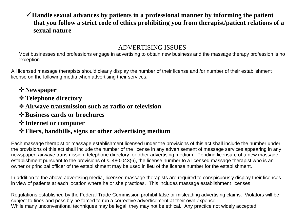#### ✓**Handle sexual advances by patients in a professional manner by informing the patient that you follow a strict code of ethics prohibiting you from therapist/patient relations of a sexual nature**

#### ADVERTISING ISSUES

Most businesses and professions engage in advertising to obtain new business and the massage therapy profession is no exception.

All licensed massage therapists should clearly display the number of their license and /or number of their establishment license on the following media when advertising their services.

- ❖**Newspaper**
- ❖**Telephone directory**
- ❖**Airwave transmission such as radio or television**
- ❖**Business cards or brochures**
- ❖**Internet or computer**

#### ❖**Fliers, handbills, signs or other advertising medium**

Each massage therapist or massage establishment licensed under the provisions of this act shall include the number under the provisions of this act shall include the number of the license in any advertisement of massage services appearing in any newspaper, airwave transmission, telephone directory, or other advertising medium. Pending licensure of a new massage establishment pursuant to the provisions of s. 480.043(6), the license number to a licensed massage therapist who is an owner or principal officer of the establishment may be used in lieu of the license number for the establishment.

In addition to the above advertising media, licensed massage therapists are required to conspicuously display their licenses in view of patients at each location where he or she practices. This includes massage establishment licenses.

Regulations established by the Federal Trade Commission prohibit false or misleading advertising claims. Violators will be subject to fines and possibly be forced to run a corrective advertisement at their own expense. While many unconventional techniques may be legal, they may not be ethical. Any practice not widely accepted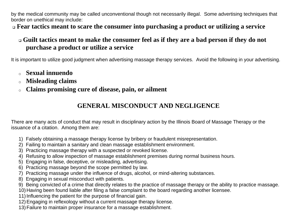by the medical community may be called unconventional though not necessarily illegal. Some advertising techniques that border on unethical may include:

❑ **Fear tactics meant to scare the consumer into purchasing a product or utilizing a service**

### ❑ **Guilt tactics meant to make the consumer feel as if they are a bad person if they do not purchase a product or utilize a service**

It is important to utilize good judgment when advertising massage therapy services. Avoid the following in your advertising.

- <sup>o</sup> **Sexual innuendo**
- <sup>o</sup> **Misleading claims**
- <sup>o</sup> **Claims promising cure of disease, pain, or ailment**

### **GENERAL MISCONDUCT AND NEGLIGENCE**

There are many acts of conduct that may result in disciplinary action by the Illinois Board of Massage Therapy or the issuance of a citation. Among them are:

- 1) Falsely obtaining a massage therapy license by bribery or fraudulent misrepresentation.
- 2) Failing to maintain a sanitary and clean massage establishment environment.
- 3) Practicing massage therapy with a suspected or revoked license.
- 4) Refusing to allow inspection of massage establishment premises during normal business hours.
- 5) Engaging in false, deceptive, or misleading, advertising.
- 6) Practicing massage beyond the scope permitted by law.
- 7) Practicing massage under the influence of drugs, alcohol, or mind-altering substances.
- 8) Engaging in sexual misconduct with patients.
- 9) Being convicted of a crime that directly relates to the practice of massage therapy or the ability to practice massage.
- 10) Having been found liable after filing a false complaint to the board regarding another licensee.
- 11) Influencing the patient for the purpose of financial gain.
- 12)Engaging in reflexology without a current massage therapy license.
- 13)Failure to maintain proper insurance for a massage establishment.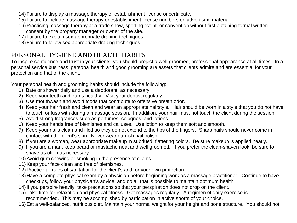- 14)Failure to display a massage therapy or establishment license or certificate.
- 15)Failure to include massage therapy or establishment license numbers on advertising material.
- 16) Practicing massage therapy at a trade show, sporting event, or convention without first obtaining formal written consent by the property manager or owner of the site.
- 17)Failure to explain sex-appropriate draping techniques.
- 18)Failure to follow sex-appropriate draping techniques.

#### PERSONAL HYGIENE AND HEALTH HABITS

To inspire confidence and trust in your clients, you should project a well-groomed, professional appearance at all times. In a personal service business, personal health and good grooming are assets that clients admire and are essential for your protection and that of the client.

Your personal health and grooming habits should include the following:

- 1) Bate or shower daily and use a deodorant, as necessary.
- 2) Keep your teeth and gums healthy. Visit your dentist regularly.
- 3) Use mouthwash and avoid foods that contribute to offensive breath odor.
- 4) Keep your hair fresh and clean and wear an appropriate hairstyle. Hair should be worn in a style that you do not have to touch or fuss with during a massage session. In addition, your hair must not touch the client during the session.
- 5) Avoid strong fragrances such as perfumes, colognes, and lotions.
- 6) Keep your hands free of blemishes and calluses. Use lotion to keep them soft and smooth.
- 7) Keep your nails clean and filed so they do not extend to the tips of the fingers. Sharp nails should never come in contact with the client's skin. Never wear garnish nail polish.
- 8) If you are a woman, wear appropriate makeup in subdued, flattering colors. Be sure makeup is applied neatly.
- 9) If you are a man, keep beard or mustache neat and well groomed. If you prefer the clean-shaven look, be sure to shave as often as necessary.
- 10)Avoid gum chewing or smoking in the presence of clients.
- 11) Keep your face clean and free of blemishes.
- 12) Practice all rules of sanitation for the client's and for your own protection.
- 13) Have a complete physical exam by a physician before beginning work as a massage practitioner. Continue to have checkups, follow your physician's advice, and do all that is possible to maintain optimum health.
- 14)If you perspire heavily, take precautions so that your perspiration does not drop on the client.
- 15)Take time for relaxation and physical fitness. Get massages regularly. A regimen of daily exercise is recommended. This may be accomplished by participation in active sports of your choice.
- 16)Eat a well-balanced, nutritious diet. Maintain your normal weight for your height and bone structure. You should not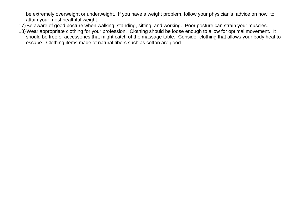be extremely overweight or underweight. If you have a weight problem, follow your physician's advice on how to attain your most healthful weight.

- 17)Be aware of good posture when walking, standing, sitting, and working. Poor posture can strain your muscles.
- 18)Wear appropriate clothing for your profession. Clothing should be loose enough to allow for optimal movement. It should be free of accessories that might catch of the massage table. Consider clothing that allows your body heat to escape. Clothing items made of natural fibers such as cotton are good.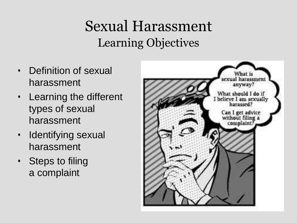### Sexual Harassment Learning Objectives

- Definition of sexual harassment
- Learning the different types of sexual harassment
- Identifying sexual harassment
- Steps to filing a complaint

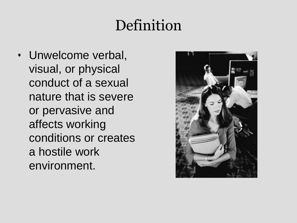## Definition

• Unwelcome verbal, visual, or physical conduct of a sexual nature that is severe or pervasive and affects working conditions or creates a hostile work environment.

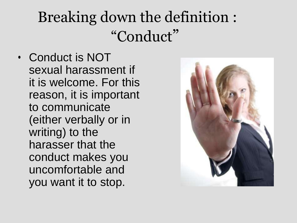# Breaking down the definition : "Conduct"

• Conduct is NOT sexual harassment if it is welcome. For this reason, it is important to communicate (either verbally or in writing) to the harasser that the conduct makes you uncomfortable and you want it to stop.

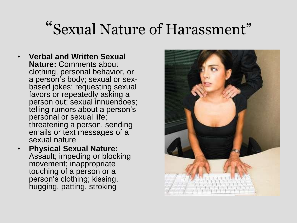# "Sexual Nature of Harassment"

- **Verbal and Written Sexual Nature:** Comments about clothing, personal behavior, or a person's body; sexual or sexbased jokes; requesting sexual favors or repeatedly asking a person out; sexual innuendoes; telling rumors about a person's personal or sexual life; threatening a person, sending emails or text messages of a sexual nature
- **Physical Sexual Nature:**  Assault; impeding or blocking movement; inappropriate touching of a person or a person's clothing; kissing, hugging, patting, stroking

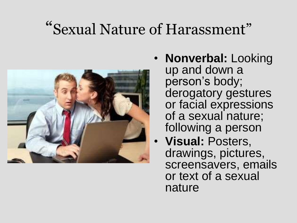# "Sexual Nature of Harassment"



- **Nonverbal:** Looking up and down a person's body; derogatory gestures or facial expressions of a sexual nature; following a person
	- **Visual:** Posters, drawings, pictures, screensavers, emails or text of a sexual nature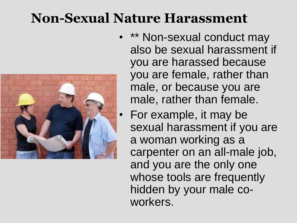### **Non-Sexual Nature Harassment**



- \*\* Non-sexual conduct may also be sexual harassment if you are harassed because you are female, rather than male, or because you are male, rather than female.
- For example, it may be sexual harassment if you are a woman working as a carpenter on an all-male job, and you are the only one whose tools are frequently hidden by your male coworkers.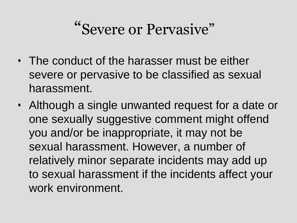# "Severe or Pervasive"

- The conduct of the harasser must be either severe or pervasive to be classified as sexual harassment.
- Although a single unwanted request for a date or one sexually suggestive comment might offend you and/or be inappropriate, it may not be sexual harassment. However, a number of relatively minor separate incidents may add up to sexual harassment if the incidents affect your work environment.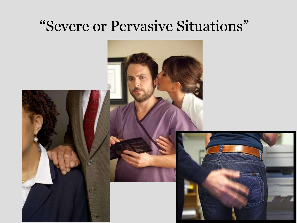### "Severe or Pervasive Situations"

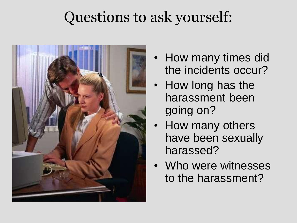## Questions to ask yourself:



- How many times did the incidents occur?
- How long has the harassment been going on?
- How many others have been sexually harassed?
- Who were witnesses to the harassment?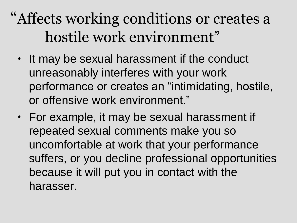## "Affects working conditions or creates a hostile work environment"

- It may be sexual harassment if the conduct unreasonably interferes with your work performance or creates an "intimidating, hostile, or offensive work environment."
- For example, it may be sexual harassment if repeated sexual comments make you so uncomfortable at work that your performance suffers, or you decline professional opportunities because it will put you in contact with the harasser.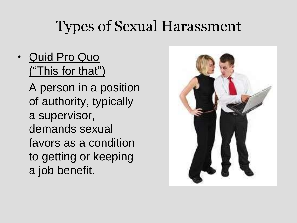### Types of Sexual Harassment

• Quid Pro Quo ("This for that")

> A person in a position of authority, typically a supervisor, demands sexual favors as a condition to getting or keeping a job benefit.

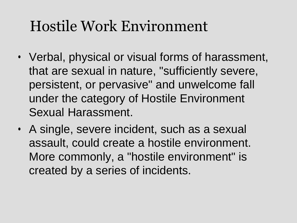## Hostile Work Environment

- Verbal, physical or visual forms of harassment, that are sexual in nature, "sufficiently severe, persistent, or pervasive" and unwelcome fall under the category of Hostile Environment Sexual Harassment.
- A single, severe incident, such as a sexual assault, could create a hostile environment. More commonly, a "hostile environment" is created by a series of incidents.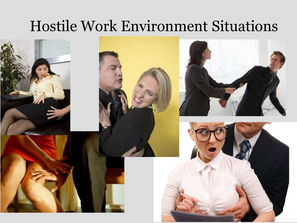### Hostile Work Environment Situations

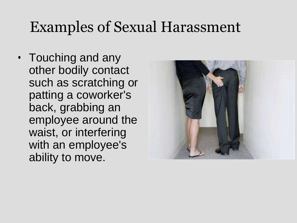### Examples of Sexual Harassment

• Touching and any other bodily contact such as scratching or patting a coworker's back, grabbing an employee around the waist, or interfering with an employee's ability to move.

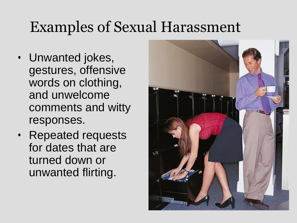## Examples of Sexual Harassment

- Unwanted jokes, gestures, offensive words on clothing, and unwelcome comments and witty responses.
- Repeated requests for dates that are turned down or unwanted flirting.

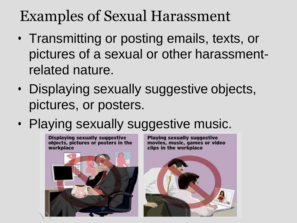## Examples of Sexual Harassment

- Transmitting or posting emails, texts, or pictures of a sexual or other harassmentrelated nature.
- Displaying sexually suggestive objects, pictures, or posters.
- Playing sexually suggestive music.

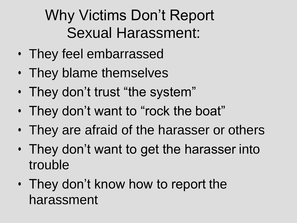# Why Victims Don't Report Sexual Harassment:

- They feel embarrassed
- They blame themselves
- They don't trust "the system"
- They don't want to "rock the boat"
- They are afraid of the harasser or others
- They don't want to get the harasser into trouble
- They don't know how to report the harassment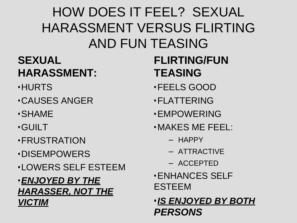### HOW DOES IT FEEL? SEXUAL HARASSMENT VERSUS FLIRTING AND FUN TEASING

### **SEXUAL HARASSMENT:**

- •HURTS
- •CAUSES ANGER
- •SHAME
- •GUILT
- •FRUSTRATION
- •DISEMPOWERS
- •LOWERS SELF ESTEEM
- •*ENJOYED BY THE HARASSER, NOT THE VICTIM*

### **FLIRTING/FUN TEASING**

- •FEELS GOOD
- •FLATTERING
- •EMPOWERING
- •MAKES ME FEEL:
	- HAPPY
	- ATTRACTIVE
	- ACCEPTED
- •ENHANCES SELF ESTEEM
- •*IS ENJOYED BY BOTH PERSONS*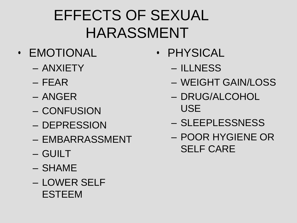# EFFECTS OF SEXUAL HARASSMENT

- EMOTIONAL
	- ANXIETY
	- FEAR
	- ANGER
	- CONFUSION
	- DEPRESSION
	- EMBARRASSMENT
	- GUILT
	- SHAME
	- LOWER SELF ESTEEM
- PHYSICAL
	- ILLNESS
	- WEIGHT GAIN/LOSS
	- DRUG/ALCOHOL USE
	- SLEEPLESSNESS
	- POOR HYGIENE OR SELF CARE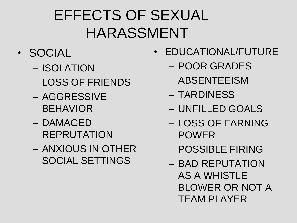# EFFECTS OF SEXUAL HARASSMENT

### • SOCIAL

- ISOLATION
- LOSS OF FRIENDS
- AGGRESSIVE BEHAVIOR
- DAMAGED REPRUTATION
- ANXIOUS IN OTHER SOCIAL SETTINGS
- EDUCATIONAL/FUTURE
	- POOR GRADES
	- ABSENTEEISM
	- TARDINESS
	- UNFILLED GOALS
	- LOSS OF EARNING POWER
	- POSSIBLE FIRING
	- BAD REPUTATION AS A WHISTLE BLOWER OR NOT A TEAM PLAYER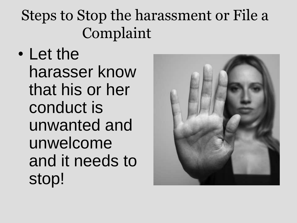• Let the harasser know that his or her conduct is unwanted and unwelcome and it needs to stop!

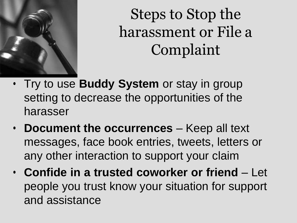

- Try to use **Buddy System** or stay in group setting to decrease the opportunities of the harasser
- **Document the occurrences**  Keep all text messages, face book entries, tweets, letters or any other interaction to support your claim
- **Confide in a trusted coworker or friend**  Let people you trust know your situation for support and assistance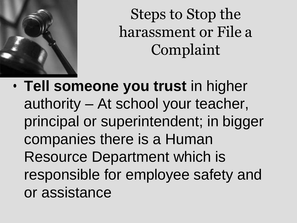

• **Tell someone you trust** in higher authority – At school your teacher, principal or superintendent; in bigger companies there is a Human Resource Department which is responsible for employee safety and or assistance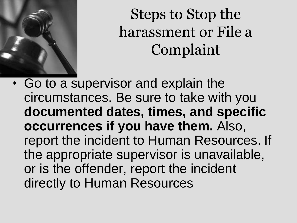

• Go to a supervisor and explain the circumstances. Be sure to take with you **documented dates, times, and specific occurrences if you have them.** Also, report the incident to Human Resources. If the appropriate supervisor is unavailable, or is the offender, report the incident directly to Human Resources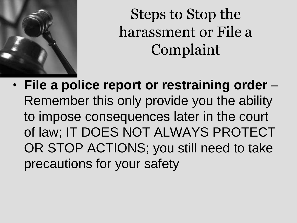

• **File a police report or restraining order** – Remember this only provide you the ability to impose consequences later in the court of law; IT DOES NOT ALWAYS PROTECT OR STOP ACTIONS; you still need to take precautions for your safety